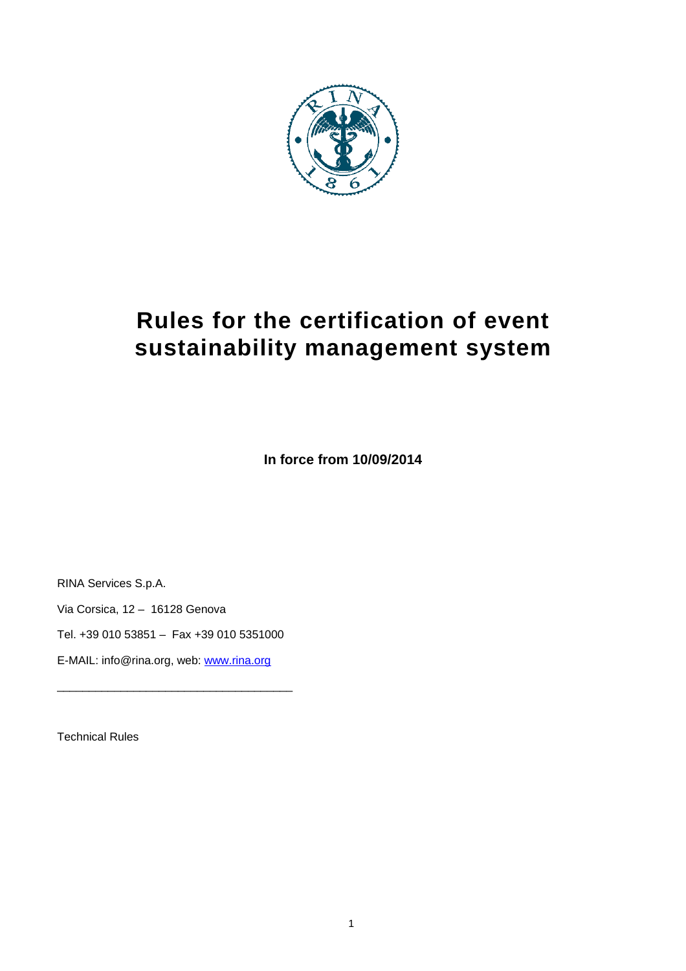

# **Rules for the certification of event sustainability management system**

**In force from 10/09/2014** 

RINA Services S.p.A.

Via Corsica, 12 – 16128 Genova

Tel. +39 010 53851 – Fax +39 010 5351000

\_\_\_\_\_\_\_\_\_\_\_\_\_\_\_\_\_\_\_\_\_\_\_\_\_\_\_\_\_\_\_\_\_\_\_\_\_

E-MAIL: info@rina.org, web: www.rina.org

Technical Rules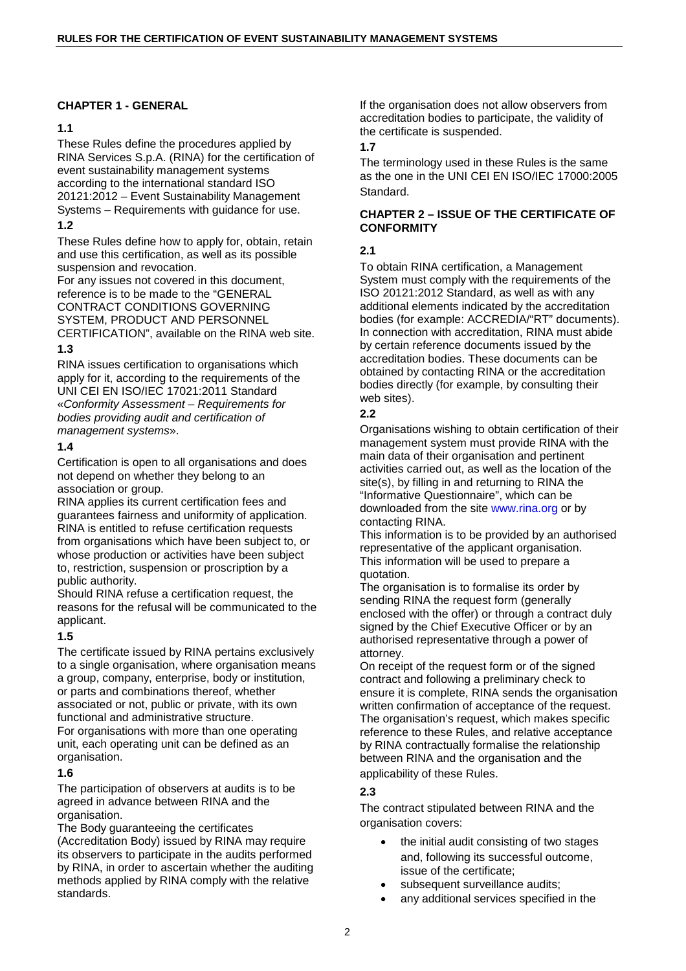## **CHAPTER 1 - GENERAL**

# **1.1**

These Rules define the procedures applied by RINA Services S.p.A. (RINA) for the certification of event sustainability management systems according to the international standard ISO 20121:2012 – Event Sustainability Management Systems – Requirements with guidance for use.

## **1.2**

These Rules define how to apply for, obtain, retain and use this certification, as well as its possible suspension and revocation.

For any issues not covered in this document, reference is to be made to the "GENERAL CONTRACT CONDITIONS GOVERNING SYSTEM, PRODUCT AND PERSONNEL CERTIFICATION", available on the RINA web site.

# **1.3**

RINA issues certification to organisations which apply for it, according to the requirements of the UNI CEI EN ISO/IEC 17021:2011 Standard «Conformity Assessment – Requirements for bodies providing audit and certification of management systems».

## **1.4**

Certification is open to all organisations and does not depend on whether they belong to an association or group.

RINA applies its current certification fees and guarantees fairness and uniformity of application. RINA is entitled to refuse certification requests from organisations which have been subject to, or whose production or activities have been subject to, restriction, suspension or proscription by a public authority.

Should RINA refuse a certification request, the reasons for the refusal will be communicated to the applicant.

# **1.5**

The certificate issued by RINA pertains exclusively to a single organisation, where organisation means a group, company, enterprise, body or institution, or parts and combinations thereof, whether associated or not, public or private, with its own functional and administrative structure. For organisations with more than one operating unit, each operating unit can be defined as an

organisation.

# **1.6**

The participation of observers at audits is to be agreed in advance between RINA and the organisation.

The Body guaranteeing the certificates

(Accreditation Body) issued by RINA may require its observers to participate in the audits performed by RINA, in order to ascertain whether the auditing methods applied by RINA comply with the relative standards.

If the organisation does not allow observers from accreditation bodies to participate, the validity of the certificate is suspended.

# **1.7**

The terminology used in these Rules is the same as the one in the UNI CEI EN ISO/IEC 17000:2005 Standard.

## **CHAPTER 2 – ISSUE OF THE CERTIFICATE OF CONFORMITY**

# **2.1**

To obtain RINA certification, a Management System must comply with the requirements of the ISO 20121:2012 Standard, as well as with any additional elements indicated by the accreditation bodies (for example: ACCREDIA/"RT" documents). In connection with accreditation, RINA must abide by certain reference documents issued by the accreditation bodies. These documents can be obtained by contacting RINA or the accreditation bodies directly (for example, by consulting their web sites).

## **2.2**

Organisations wishing to obtain certification of their management system must provide RINA with the main data of their organisation and pertinent activities carried out, as well as the location of the site(s), by filling in and returning to RINA the "Informative Questionnaire", which can be downloaded from the site www.rina.org or by contacting RINA.

This information is to be provided by an authorised representative of the applicant organisation. This information will be used to prepare a quotation.

The organisation is to formalise its order by sending RINA the request form (generally enclosed with the offer) or through a contract duly signed by the Chief Executive Officer or by an authorised representative through a power of attorney.

On receipt of the request form or of the signed contract and following a preliminary check to ensure it is complete, RINA sends the organisation written confirmation of acceptance of the request. The organisation's request, which makes specific reference to these Rules, and relative acceptance by RINA contractually formalise the relationship between RINA and the organisation and the applicability of these Rules.

# **2.3**

The contract stipulated between RINA and the organisation covers:

- the initial audit consisting of two stages and, following its successful outcome, issue of the certificate;
- subsequent surveillance audits;
- any additional services specified in the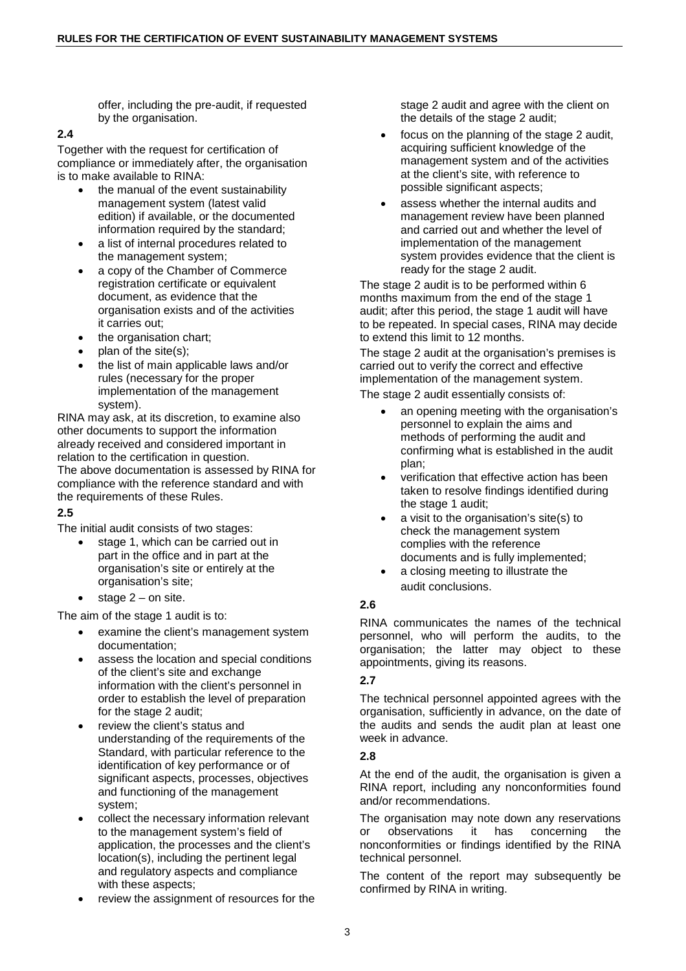offer, including the pre-audit, if requested by the organisation.

#### **2.4**

Together with the request for certification of compliance or immediately after, the organisation is to make available to RINA:

- the manual of the event sustainability management system (latest valid edition) if available, or the documented information required by the standard;
- a list of internal procedures related to the management system;
- a copy of the Chamber of Commerce registration certificate or equivalent document, as evidence that the organisation exists and of the activities it carries out;
- the organisation chart;
- plan of the site(s);
- the list of main applicable laws and/or rules (necessary for the proper implementation of the management system).

RINA may ask, at its discretion, to examine also other documents to support the information already received and considered important in relation to the certification in question. The above documentation is assessed by RINA for

compliance with the reference standard and with the requirements of these Rules.

## **2.5**

The initial audit consists of two stages:

- stage 1, which can be carried out in part in the office and in part at the organisation's site or entirely at the organisation's site;
- stage  $2 -$  on site.

The aim of the stage 1 audit is to:

- examine the client's management system documentation;
- assess the location and special conditions of the client's site and exchange information with the client's personnel in order to establish the level of preparation for the stage 2 audit;
- review the client's status and understanding of the requirements of the Standard, with particular reference to the identification of key performance or of significant aspects, processes, objectives and functioning of the management system;
- collect the necessary information relevant to the management system's field of application, the processes and the client's location(s), including the pertinent legal and regulatory aspects and compliance with these aspects;
- review the assignment of resources for the

stage 2 audit and agree with the client on the details of the stage 2 audit;

- focus on the planning of the stage 2 audit, acquiring sufficient knowledge of the management system and of the activities at the client's site, with reference to possible significant aspects;
- assess whether the internal audits and management review have been planned and carried out and whether the level of implementation of the management system provides evidence that the client is ready for the stage 2 audit.

The stage 2 audit is to be performed within 6 months maximum from the end of the stage 1 audit; after this period, the stage 1 audit will have to be repeated. In special cases, RINA may decide to extend this limit to 12 months.

The stage 2 audit at the organisation's premises is carried out to verify the correct and effective implementation of the management system.

The stage 2 audit essentially consists of:

- an opening meeting with the organisation's personnel to explain the aims and methods of performing the audit and confirming what is established in the audit plan;
- verification that effective action has been taken to resolve findings identified during the stage 1 audit;
- a visit to the organisation's site(s) to check the management system complies with the reference documents and is fully implemented;
- a closing meeting to illustrate the audit conclusions.

# **2.6**

RINA communicates the names of the technical personnel, who will perform the audits, to the organisation; the latter may object to these appointments, giving its reasons.

## **2.7**

The technical personnel appointed agrees with the organisation, sufficiently in advance, on the date of the audits and sends the audit plan at least one week in advance.

## **2.8**

At the end of the audit, the organisation is given a RINA report, including any nonconformities found and/or recommendations.

The organisation may note down any reservations or observations it has concerning the nonconformities or findings identified by the RINA technical personnel.

The content of the report may subsequently be confirmed by RINA in writing.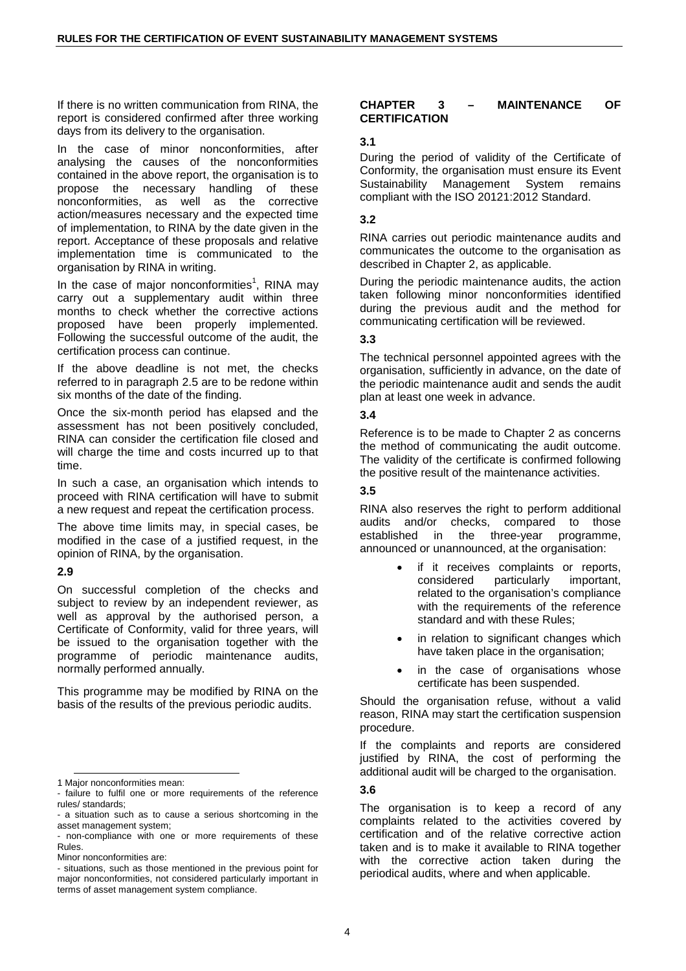If there is no written communication from RINA, the report is considered confirmed after three working days from its delivery to the organisation.

In the case of minor nonconformities, after analysing the causes of the nonconformities contained in the above report, the organisation is to propose the necessary handling of these nonconformities, as well as the corrective action/measures necessary and the expected time of implementation, to RINA by the date given in the report. Acceptance of these proposals and relative implementation time is communicated to the organisation by RINA in writing.

In the case of major nonconformities<sup>1</sup>, RINA may carry out a supplementary audit within three months to check whether the corrective actions proposed have been properly implemented. Following the successful outcome of the audit, the certification process can continue.

If the above deadline is not met, the checks referred to in paragraph 2.5 are to be redone within six months of the date of the finding.

Once the six-month period has elapsed and the assessment has not been positively concluded, RINA can consider the certification file closed and will charge the time and costs incurred up to that time.

In such a case, an organisation which intends to proceed with RINA certification will have to submit a new request and repeat the certification process.

The above time limits may, in special cases, be modified in the case of a justified request, in the opinion of RINA, by the organisation.

## **2.9**

 $\overline{a}$ 

On successful completion of the checks and subject to review by an independent reviewer, as well as approval by the authorised person, a Certificate of Conformity, valid for three years, will be issued to the organisation together with the programme of periodic maintenance audits, normally performed annually.

This programme may be modified by RINA on the basis of the results of the previous periodic audits.

#### **CHAPTER 3 – MAINTENANCE OF CERTIFICATION**

## **3.1**

During the period of validity of the Certificate of Conformity, the organisation must ensure its Event Sustainability Management System remains compliant with the ISO 20121:2012 Standard.

## **3.2**

RINA carries out periodic maintenance audits and communicates the outcome to the organisation as described in Chapter 2, as applicable.

During the periodic maintenance audits, the action taken following minor nonconformities identified during the previous audit and the method for communicating certification will be reviewed.

## **3.3**

The technical personnel appointed agrees with the organisation, sufficiently in advance, on the date of the periodic maintenance audit and sends the audit plan at least one week in advance.

## **3.4**

Reference is to be made to Chapter 2 as concerns the method of communicating the audit outcome. The validity of the certificate is confirmed following the positive result of the maintenance activities.

## **3.5**

RINA also reserves the right to perform additional audits and/or checks, compared to those established in the three-year programme, announced or unannounced, at the organisation:

- if it receives complaints or reports, considered particularly important, related to the organisation's compliance with the requirements of the reference standard and with these Rules;
- in relation to significant changes which have taken place in the organisation;
- in the case of organisations whose certificate has been suspended.

Should the organisation refuse, without a valid reason, RINA may start the certification suspension procedure.

If the complaints and reports are considered justified by RINA, the cost of performing the additional audit will be charged to the organisation.

## **3.6**

The organisation is to keep a record of any complaints related to the activities covered by certification and of the relative corrective action taken and is to make it available to RINA together with the corrective action taken during the periodical audits, where and when applicable.

<sup>1</sup> Major nonconformities mean:

<sup>-</sup> failure to fulfil one or more requirements of the reference rules/ standards;

<sup>-</sup> a situation such as to cause a serious shortcoming in the asset management system;

<sup>-</sup> non-compliance with one or more requirements of these Rules.

Minor nonconformities are:

<sup>-</sup> situations, such as those mentioned in the previous point for major nonconformities, not considered particularly important in terms of asset management system compliance.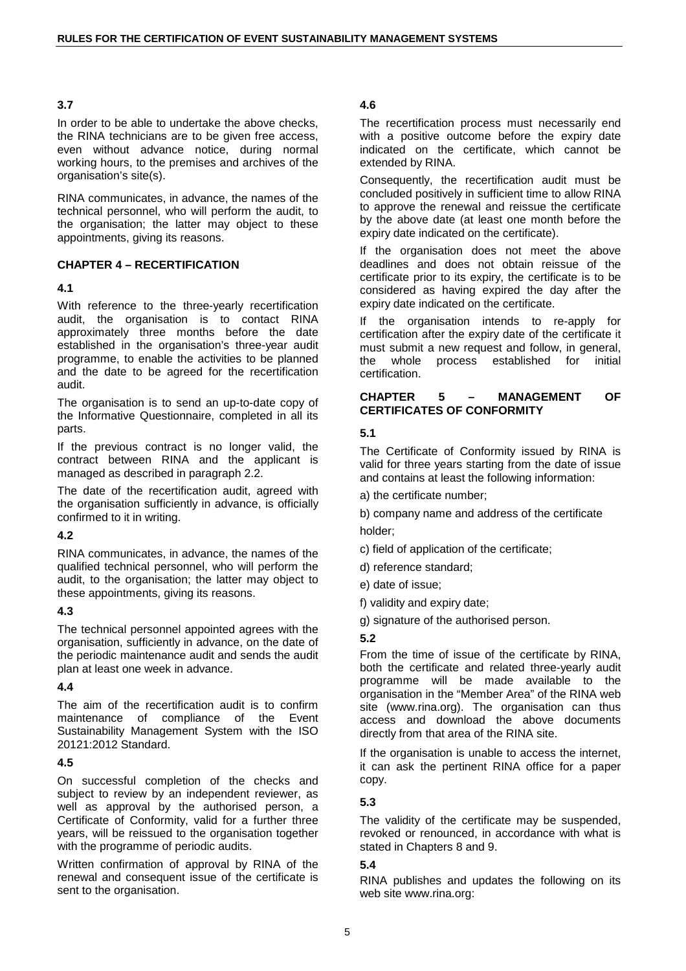#### **3.7**

In order to be able to undertake the above checks, the RINA technicians are to be given free access, even without advance notice, during normal working hours, to the premises and archives of the organisation's site(s).

RINA communicates, in advance, the names of the technical personnel, who will perform the audit, to the organisation; the latter may object to these appointments, giving its reasons.

## **CHAPTER 4 – RECERTIFICATION**

## **4.1**

With reference to the three-yearly recertification audit, the organisation is to contact RINA approximately three months before the date established in the organisation's three-year audit programme, to enable the activities to be planned and the date to be agreed for the recertification audit.

The organisation is to send an up-to-date copy of the Informative Questionnaire, completed in all its parts.

If the previous contract is no longer valid, the contract between RINA and the applicant is managed as described in paragraph 2.2.

The date of the recertification audit, agreed with the organisation sufficiently in advance, is officially confirmed to it in writing.

## **4.2**

RINA communicates, in advance, the names of the qualified technical personnel, who will perform the audit, to the organisation; the latter may object to these appointments, giving its reasons.

## **4.3**

The technical personnel appointed agrees with the organisation, sufficiently in advance, on the date of the periodic maintenance audit and sends the audit plan at least one week in advance.

## **4.4**

The aim of the recertification audit is to confirm maintenance of compliance of the Event Sustainability Management System with the ISO 20121:2012 Standard.

## **4.5**

On successful completion of the checks and subject to review by an independent reviewer, as well as approval by the authorised person, a Certificate of Conformity, valid for a further three years, will be reissued to the organisation together with the programme of periodic audits.

Written confirmation of approval by RINA of the renewal and consequent issue of the certificate is sent to the organisation.

#### **4.6**

The recertification process must necessarily end with a positive outcome before the expiry date indicated on the certificate, which cannot be extended by RINA.

Consequently, the recertification audit must be concluded positively in sufficient time to allow RINA to approve the renewal and reissue the certificate by the above date (at least one month before the expiry date indicated on the certificate).

If the organisation does not meet the above deadlines and does not obtain reissue of the certificate prior to its expiry, the certificate is to be considered as having expired the day after the expiry date indicated on the certificate.

If the organisation intends to re-apply for certification after the expiry date of the certificate it must submit a new request and follow, in general, the whole process established for initial certification.

#### **CHAPTER 5 – MANAGEMENT OF CERTIFICATES OF CONFORMITY**

## **5.1**

The Certificate of Conformity issued by RINA is valid for three years starting from the date of issue and contains at least the following information:

a) the certificate number;

b) company name and address of the certificate holder;

c) field of application of the certificate;

- d) reference standard;
- e) date of issue;
- f) validity and expiry date;

g) signature of the authorised person.

## **5.2**

From the time of issue of the certificate by RINA, both the certificate and related three-yearly audit programme will be made available to the organisation in the "Member Area" of the RINA web site (www.rina.org). The organisation can thus access and download the above documents directly from that area of the RINA site.

If the organisation is unable to access the internet, it can ask the pertinent RINA office for a paper copy.

## **5.3**

The validity of the certificate may be suspended, revoked or renounced, in accordance with what is stated in Chapters 8 and 9.

# **5.4**

RINA publishes and updates the following on its web site www.rina.org: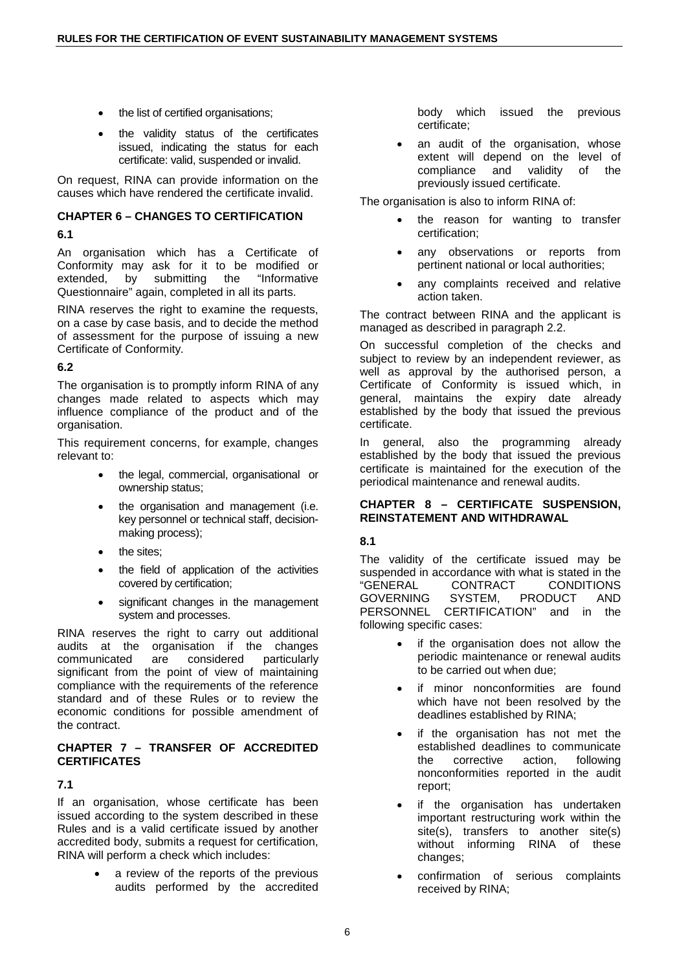- the list of certified organisations;
- the validity status of the certificates issued, indicating the status for each certificate: valid, suspended or invalid.

On request, RINA can provide information on the causes which have rendered the certificate invalid.

#### **CHAPTER 6 – CHANGES TO CERTIFICATION**

## **6.1**

An organisation which has a Certificate of Conformity may ask for it to be modified or extended, by submitting the "Informative Questionnaire" again, completed in all its parts.

RINA reserves the right to examine the requests, on a case by case basis, and to decide the method of assessment for the purpose of issuing a new Certificate of Conformity.

## **6.2**

The organisation is to promptly inform RINA of any changes made related to aspects which may influence compliance of the product and of the organisation.

This requirement concerns, for example, changes relevant to:

- the legal, commercial, organisational or ownership status;
- the organisation and management (i.e. key personnel or technical staff, decisionmaking process);
- the sites:
- the field of application of the activities covered by certification;
- significant changes in the management system and processes.

RINA reserves the right to carry out additional audits at the organisation if the changes communicated are considered particularly significant from the point of view of maintaining compliance with the requirements of the reference standard and of these Rules or to review the economic conditions for possible amendment of the contract.

#### **CHAPTER 7 – TRANSFER OF ACCREDITED CERTIFICATES**

## **7.1**

If an organisation, whose certificate has been issued according to the system described in these Rules and is a valid certificate issued by another accredited body, submits a request for certification, RINA will perform a check which includes:

> a review of the reports of the previous audits performed by the accredited

body which issued the previous certificate;

an audit of the organisation, whose extent will depend on the level of compliance and validity of the previously issued certificate.

The organisation is also to inform RINA of:

- the reason for wanting to transfer certification;
- any observations or reports from pertinent national or local authorities;
- any complaints received and relative action taken.

The contract between RINA and the applicant is managed as described in paragraph 2.2.

On successful completion of the checks and subject to review by an independent reviewer, as well as approval by the authorised person, a Certificate of Conformity is issued which, in general, maintains the expiry date already established by the body that issued the previous certificate.

In general, also the programming already established by the body that issued the previous certificate is maintained for the execution of the periodical maintenance and renewal audits.

#### **CHAPTER 8 – CERTIFICATE SUSPENSION, REINSTATEMENT AND WITHDRAWAL**

## **8.1**

The validity of the certificate issued may be suspended in accordance with what is stated in the "GENERAL CONTRACT CONDITIONS GOVERNING SYSTEM, PRODUCT AND PERSONNEL CERTIFICATION" and in the following specific cases:

- if the organisation does not allow the periodic maintenance or renewal audits to be carried out when due;
- if minor nonconformities are found which have not been resolved by the deadlines established by RINA;
- if the organisation has not met the established deadlines to communicate the corrective action, following nonconformities reported in the audit report;
- if the organisation has undertaken important restructuring work within the site(s), transfers to another site(s) without informing RINA of these changes;
- confirmation of serious complaints received by RINA;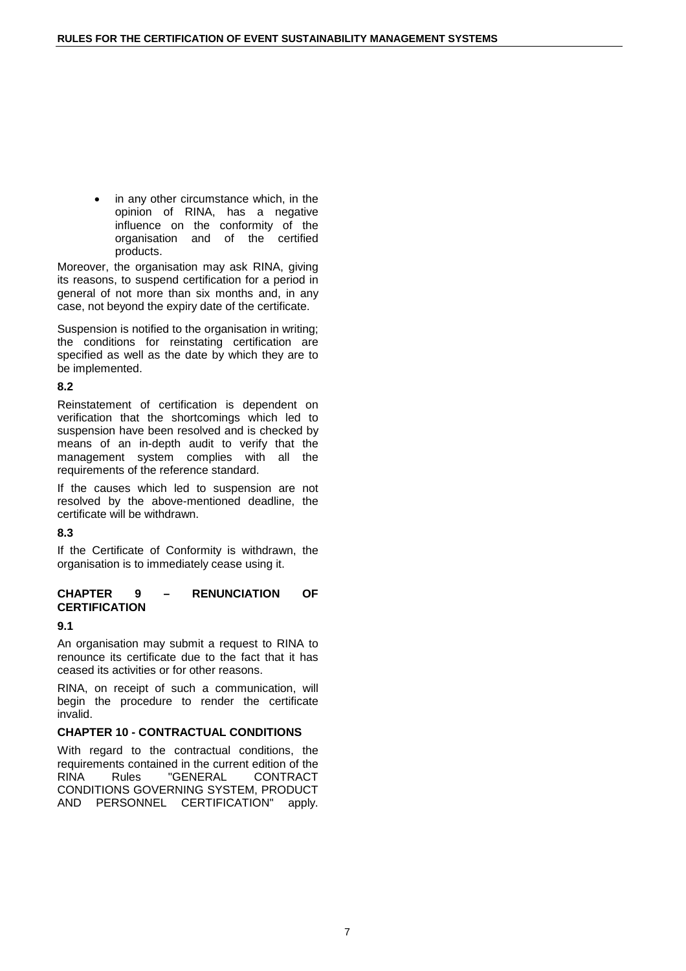in any other circumstance which, in the opinion of RINA, has a negative influence on the conformity of the organisation and of the certified products.

Moreover, the organisation may ask RINA, giving its reasons, to suspend certification for a period in general of not more than six months and, in any case, not beyond the expiry date of the certificate.

Suspension is notified to the organisation in writing; the conditions for reinstating certification are specified as well as the date by which they are to be implemented.

## **8.2**

Reinstatement of certification is dependent on verification that the shortcomings which led to suspension have been resolved and is checked by means of an in-depth audit to verify that the management system complies with all the requirements of the reference standard.

If the causes which led to suspension are not resolved by the above-mentioned deadline, the certificate will be withdrawn.

## **8.3**

If the Certificate of Conformity is withdrawn, the organisation is to immediately cease using it.

#### **CHAPTER 9 – RENUNCIATION OF CERTIFICATION**

# **9.1**

An organisation may submit a request to RINA to renounce its certificate due to the fact that it has ceased its activities or for other reasons.

RINA, on receipt of such a communication, will begin the procedure to render the certificate invalid.

## **CHAPTER 10 - CONTRACTUAL CONDITIONS**

With regard to the contractual conditions, the requirements contained in the current edition of the RINA Rules "GENERAL CONTRACT CONDITIONS GOVERNING SYSTEM, PRODUCT AND PERSONNEL CERTIFICATION" apply.